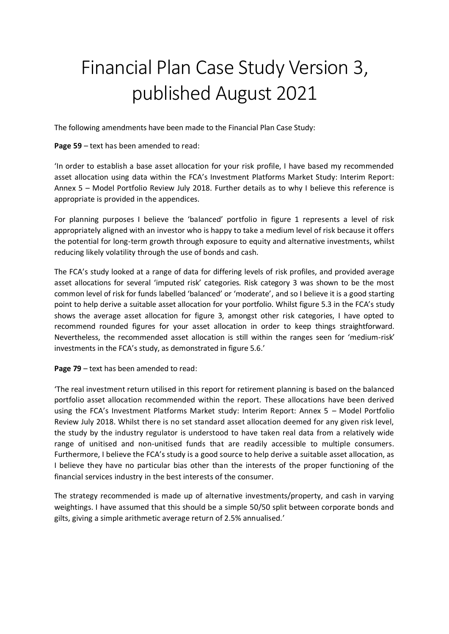## Financial Plan Case Study Version 3, published August 2021

The following amendments have been made to the Financial Plan Case Study:

**Page 59** – text has been amended to read:

'In order to establish a base asset allocation for your risk profile, I have based my recommended asset allocation using data within the FCA's Investment Platforms Market Study: Interim Report: Annex 5 – Model Portfolio Review July 2018. Further details as to why I believe this reference is appropriate is provided in the appendices.

For planning purposes I believe the 'balanced' portfolio in figure 1 represents a level of risk appropriately aligned with an investor who is happy to take a medium level of risk because it offers the potential for long-term growth through exposure to equity and alternative investments, whilst reducing likely volatility through the use of bonds and cash.

The FCA's study looked at a range of data for differing levels of risk profiles, and provided average asset allocations for several 'imputed risk' categories. Risk category 3 was shown to be the most common level of risk for funds labelled 'balanced' or 'moderate', and so I believe it is a good starting point to help derive a suitable asset allocation for your portfolio. Whilst figure 5.3 in the FCA's study shows the average asset allocation for figure 3, amongst other risk categories, I have opted to recommend rounded figures for your asset allocation in order to keep things straightforward. Nevertheless, the recommended asset allocation is still within the ranges seen for 'medium-risk' investments in the FCA's study, as demonstrated in figure 5.6.'

## **Page 79** – text has been amended to read:

'The real investment return utilised in this report for retirement planning is based on the balanced portfolio asset allocation recommended within the report. These allocations have been derived using the FCA's Investment Platforms Market study: Interim Report: Annex 5 – Model Portfolio Review July 2018. Whilst there is no set standard asset allocation deemed for any given risk level, the study by the industry regulator is understood to have taken real data from a relatively wide range of unitised and non-unitised funds that are readily accessible to multiple consumers. Furthermore, I believe the FCA's study is a good source to help derive a suitable asset allocation, as I believe they have no particular bias other than the interests of the proper functioning of the financial services industry in the best interests of the consumer.

The strategy recommended is made up of alternative investments/property, and cash in varying weightings. I have assumed that this should be a simple 50/50 split between corporate bonds and gilts, giving a simple arithmetic average return of 2.5% annualised.'